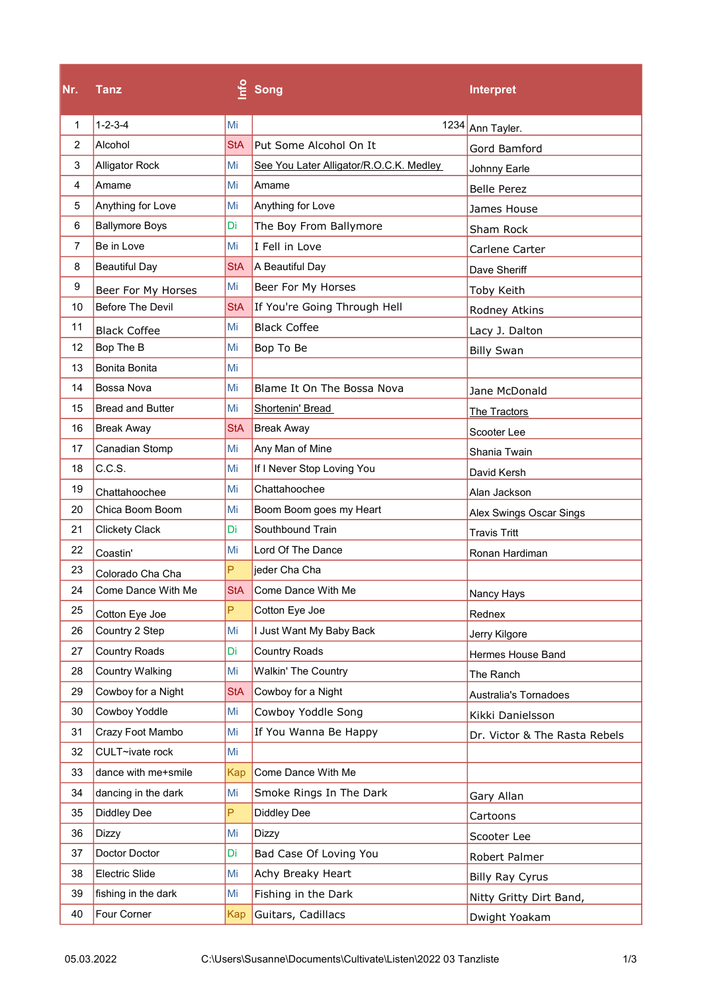| Nr.            | Tanz                    | $\epsilon$ | Song                                    | <b>Interpret</b>              |
|----------------|-------------------------|------------|-----------------------------------------|-------------------------------|
| 1              | $1 - 2 - 3 - 4$         | Mi         | 1234                                    | Ann Tayler.                   |
| $\overline{2}$ | Alcohol                 | <b>StA</b> | Put Some Alcohol On It                  | Gord Bamford                  |
| 3              | <b>Alligator Rock</b>   | Mi         | See You Later Alligator/R.O.C.K. Medley | Johnny Earle                  |
| 4              | Amame                   | Mi         | Amame                                   | <b>Belle Perez</b>            |
| 5              | Anything for Love       | Mi         | Anything for Love                       | James House                   |
| 6              | <b>Ballymore Boys</b>   | Di         | The Boy From Ballymore                  | Sham Rock                     |
| $\overline{7}$ | Be in Love              | Mi         | I Fell in Love                          | Carlene Carter                |
| 8              | <b>Beautiful Day</b>    | <b>StA</b> | A Beautiful Day                         | Dave Sheriff                  |
| 9              | Beer For My Horses      | Mi         | Beer For My Horses                      | Toby Keith                    |
| 10             | <b>Before The Devil</b> | StA        | If You're Going Through Hell            | Rodney Atkins                 |
| 11             | <b>Black Coffee</b>     | Mi         | <b>Black Coffee</b>                     | Lacy J. Dalton                |
| 12             | Bop The B               | Mi         | Bop To Be                               | <b>Billy Swan</b>             |
| 13             | Bonita Bonita           | Mi         |                                         |                               |
| 14             | Bossa Nova              | Mi         | Blame It On The Bossa Nova              | Jane McDonald                 |
| 15             | <b>Bread and Butter</b> | Mi         | Shortenin' Bread                        | The Tractors                  |
| 16             | <b>Break Away</b>       | <b>StA</b> | <b>Break Away</b>                       | Scooter Lee                   |
| 17             | Canadian Stomp          | Mi         | Any Man of Mine                         | Shania Twain                  |
| 18             | C.C.S.                  | Mi         | If I Never Stop Loving You              | David Kersh                   |
| 19             | Chattahoochee           | Mi         | Chattahoochee                           | Alan Jackson                  |
| 20             | Chica Boom Boom         | Mi         | Boom Boom goes my Heart                 | Alex Swings Oscar Sings       |
| 21             | <b>Clickety Clack</b>   | Di         | Southbound Train                        | <b>Travis Tritt</b>           |
| 22             | Coastin'                | Mi         | Lord Of The Dance                       | Ronan Hardiman                |
| 23             | Colorado Cha Cha        | P          | jeder Cha Cha                           |                               |
| 24             | Come Dance With Me      | <b>StA</b> | Come Dance With Me                      | Nancy Hays                    |
| 25             | Cotton Eye Joe          | P          | Cotton Eye Joe                          | Rednex                        |
| 26             | Country 2 Step          | Mi         | I Just Want My Baby Back                | Jerry Kilgore                 |
| 27             | <b>Country Roads</b>    | Di         | <b>Country Roads</b>                    | <b>Hermes House Band</b>      |
| 28             | <b>Country Walking</b>  | Mi         | <b>Walkin' The Country</b>              | The Ranch                     |
| 29             | Cowboy for a Night      | <b>StA</b> | Cowboy for a Night                      | <b>Australia's Tornadoes</b>  |
| 30             | Cowboy Yoddle           | Mi         | Cowboy Yoddle Song                      | Kikki Danielsson              |
| 31             | Crazy Foot Mambo        | Mi         | If You Wanna Be Happy                   | Dr. Victor & The Rasta Rebels |
| 32             | CULT~ivate rock         | Mi         |                                         |                               |
| 33             | dance with me+smile     | Kap        | Come Dance With Me                      |                               |
| 34             | dancing in the dark     | Mi         | Smoke Rings In The Dark                 | Gary Allan                    |
| 35             | <b>Diddley Dee</b>      | P          | <b>Diddley Dee</b>                      | Cartoons                      |
| 36             | Dizzy                   | Mi         | Dizzy                                   | Scooter Lee                   |
| 37             | Doctor Doctor           | Di         | Bad Case Of Loving You                  | Robert Palmer                 |
| 38             | Electric Slide          | Mi         | Achy Breaky Heart                       | <b>Billy Ray Cyrus</b>        |
| 39             | fishing in the dark     | Mi         | Fishing in the Dark                     | Nitty Gritty Dirt Band,       |
| 40             | Four Corner             | Kap        | Guitars, Cadillacs                      | Dwight Yoakam                 |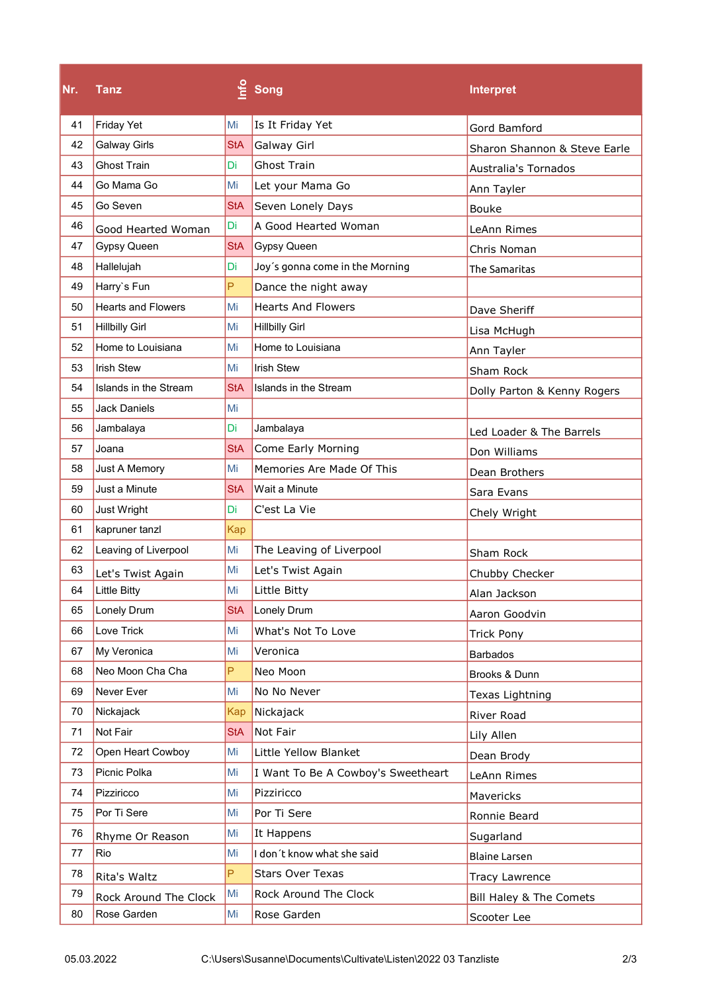| Nr. | <b>Tanz</b>               |            | $\frac{6}{5}$ Song                 | <b>Interpret</b>             |
|-----|---------------------------|------------|------------------------------------|------------------------------|
| 41  | <b>Friday Yet</b>         | Mi         | Is It Friday Yet                   | Gord Bamford                 |
| 42  | <b>Galway Girls</b>       | <b>StA</b> | Galway Girl                        | Sharon Shannon & Steve Earle |
| 43  | <b>Ghost Train</b>        | Di         | <b>Ghost Train</b>                 | <b>Australia's Tornados</b>  |
| 44  | Go Mama Go                | Mi         | Let your Mama Go                   | Ann Tayler                   |
| 45  | Go Seven                  | <b>StA</b> | Seven Lonely Days                  | <b>Bouke</b>                 |
| 46  | Good Hearted Woman        | Di         | A Good Hearted Woman               | LeAnn Rimes                  |
| 47  | Gypsy Queen               | <b>StA</b> | <b>Gypsy Queen</b>                 | Chris Noman                  |
| 48  | Hallelujah                | Di         | Joy's gonna come in the Morning    | The Samaritas                |
| 49  | Harry's Fun               | P          | Dance the night away               |                              |
| 50  | <b>Hearts and Flowers</b> | Mi         | <b>Hearts And Flowers</b>          | Dave Sheriff                 |
| 51  | <b>Hillbilly Girl</b>     | Mi         | <b>Hillbilly Girl</b>              | Lisa McHugh                  |
| 52  | Home to Louisiana         | Mi         | Home to Louisiana                  | Ann Tayler                   |
| 53  | <b>Irish Stew</b>         | Mi         | <b>Irish Stew</b>                  | Sham Rock                    |
| 54  | Islands in the Stream     | <b>StA</b> | Islands in the Stream              | Dolly Parton & Kenny Rogers  |
| 55  | <b>Jack Daniels</b>       | Mi         |                                    |                              |
| 56  | Jambalaya                 | Di         | Jambalaya                          | Led Loader & The Barrels     |
| 57  | Joana                     | <b>StA</b> | Come Early Morning                 | Don Williams                 |
| 58  | Just A Memory             | Mi         | Memories Are Made Of This          | Dean Brothers                |
| 59  | Just a Minute             | <b>StA</b> | Wait a Minute                      | Sara Evans                   |
| 60  | Just Wright               | Di         | C'est La Vie                       | Chely Wright                 |
| 61  | kapruner tanzl            | <b>Kap</b> |                                    |                              |
| 62  | Leaving of Liverpool      | Mi         | The Leaving of Liverpool           | Sham Rock                    |
| 63  | Let's Twist Again         | Mi         | Let's Twist Again                  | Chubby Checker               |
| 64  | <b>Little Bitty</b>       | Mi         | Little Bitty                       | Alan Jackson                 |
| 65  | Lonely Drum               | <b>StA</b> | Lonely Drum                        | Aaron Goodvin                |
| 66  | Love Trick                | Mi         | What's Not To Love                 | <b>Trick Pony</b>            |
| 67  | My Veronica               | Mi         | Veronica                           | <b>Barbados</b>              |
| 68  | Neo Moon Cha Cha          | P          | Neo Moon                           | Brooks & Dunn                |
| 69  | Never Ever                | Mi         | No No Never                        | Texas Lightning              |
| 70  | Nickajack                 | Kap        | Nickajack                          | River Road                   |
| 71  | Not Fair                  | <b>StA</b> | Not Fair                           | Lily Allen                   |
| 72  | Open Heart Cowboy         | Mi         | Little Yellow Blanket              | Dean Brody                   |
| 73  | Picnic Polka              | Mi         | I Want To Be A Cowboy's Sweetheart | LeAnn Rimes                  |
| 74  | Pizziricco                | Mi         | Pizziricco                         | Mavericks                    |
| 75  | Por Ti Sere               | Mi         | Por Ti Sere                        | Ronnie Beard                 |
| 76  | Rhyme Or Reason           | Mi         | It Happens                         | Sugarland                    |
| 77  | Rio                       | Mi         | I don't know what she said         | Blaine Larsen                |
| 78  | Rita's Waltz              | P          | <b>Stars Over Texas</b>            | <b>Tracy Lawrence</b>        |
| 79  | Rock Around The Clock     | Mi         | Rock Around The Clock              | Bill Haley & The Comets      |
| 80  | Rose Garden               | Mi         | Rose Garden                        | Scooter Lee                  |